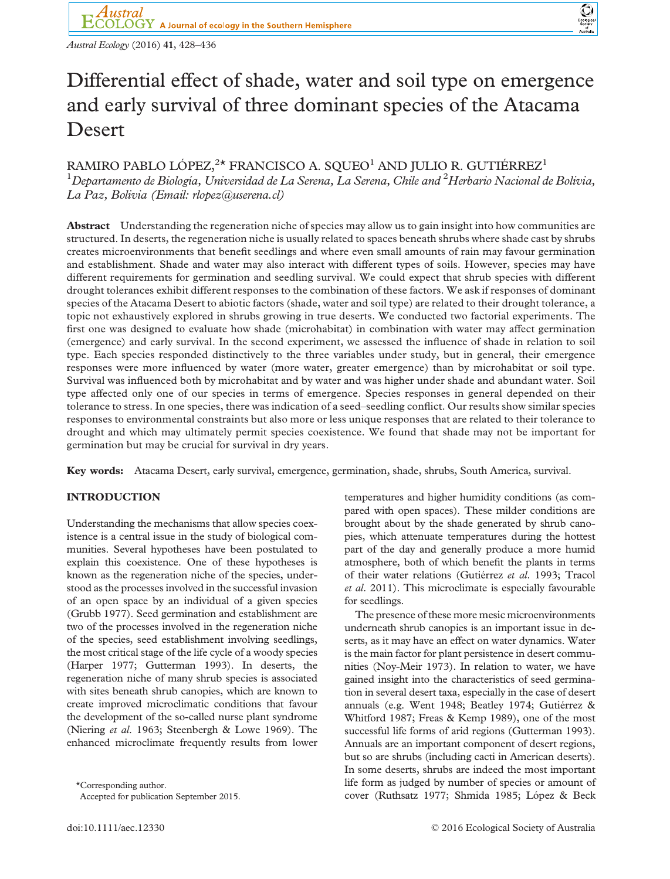bs\_bs\_banner

# Differential effect of shade, water and soil type on emergence and early survival of three dominant species of the Atacama Desert

# RAMIRO PABLO LÓPEZ, $^{2\star}$  FRANCISCO A. SQUEO $^1$  AND JULIO R. GUTIÉRREZ $^1$

 $^1$ Departamento de Biología, Universidad de La Serena, La Serena, Chile and  $^2$ Herbario Nacional de Bolivia, La Paz, Bolivia (Email: rlopez@userena.cl)

Abstract Understanding the regeneration niche of species may allow us to gain insight into how communities are structured. In deserts, the regeneration niche is usually related to spaces beneath shrubs where shade cast by shrubs creates microenvironments that benefit seedlings and where even small amounts of rain may favour germination and establishment. Shade and water may also interact with different types of soils. However, species may have different requirements for germination and seedling survival. We could expect that shrub species with different drought tolerances exhibit different responses to the combination of these factors. We ask if responses of dominant species of the Atacama Desert to abiotic factors (shade, water and soil type) are related to their drought tolerance, a topic not exhaustively explored in shrubs growing in true deserts. We conducted two factorial experiments. The first one was designed to evaluate how shade (microhabitat) in combination with water may affect germination (emergence) and early survival. In the second experiment, we assessed the influence of shade in relation to soil type. Each species responded distinctively to the three variables under study, but in general, their emergence responses were more influenced by water (more water, greater emergence) than by microhabitat or soil type. Survival was influenced both by microhabitat and by water and was higher under shade and abundant water. Soil type affected only one of our species in terms of emergence. Species responses in general depended on their tolerance to stress. In one species, there was indication of a seed–seedling conflict. Our results show similar species responses to environmental constraints but also more or less unique responses that are related to their tolerance to drought and which may ultimately permit species coexistence. We found that shade may not be important for germination but may be crucial for survival in dry years.

Key words: Atacama Desert, early survival, emergence, germination, shade, shrubs, South America, survival.

# INTRODUCTION

Understanding the mechanisms that allow species coexistence is a central issue in the study of biological communities. Several hypotheses have been postulated to explain this coexistence. One of these hypotheses is known as the regeneration niche of the species, understood as the processes involved in the successful invasion of an open space by an individual of a given species (Grubb 1977). Seed germination and establishment are two of the processes involved in the regeneration niche of the species, seed establishment involving seedlings, the most critical stage of the life cycle of a woody species (Harper 1977; Gutterman 1993). In deserts, the regeneration niche of many shrub species is associated with sites beneath shrub canopies, which are known to create improved microclimatic conditions that favour the development of the so-called nurse plant syndrome (Niering et al. 1963; Steenbergh & Lowe 1969). The enhanced microclimate frequently results from lower

Accepted for publication September 2015.

temperatures and higher humidity conditions (as compared with open spaces). These milder conditions are brought about by the shade generated by shrub canopies, which attenuate temperatures during the hottest part of the day and generally produce a more humid atmosphere, both of which benefit the plants in terms of their water relations (Gutiérrez et al. 1993; Tracol et al. 2011). This microclimate is especially favourable for seedlings.

The presence of these more mesic microenvironments underneath shrub canopies is an important issue in deserts, as it may have an effect on water dynamics. Water is the main factor for plant persistence in desert communities (Noy-Meir 1973). In relation to water, we have gained insight into the characteristics of seed germination in several desert taxa, especially in the case of desert annuals (e.g. Went 1948; Beatley 1974; Gutiérrez & Whitford 1987; Freas & Kemp 1989), one of the most successful life forms of arid regions (Gutterman 1993). Annuals are an important component of desert regions, but so are shrubs (including cacti in American deserts). In some deserts, shrubs are indeed the most important life form as judged by number of species or amount of cover (Ruthsatz 1977; Shmida 1985; López & Beck



<sup>\*</sup>Corresponding author.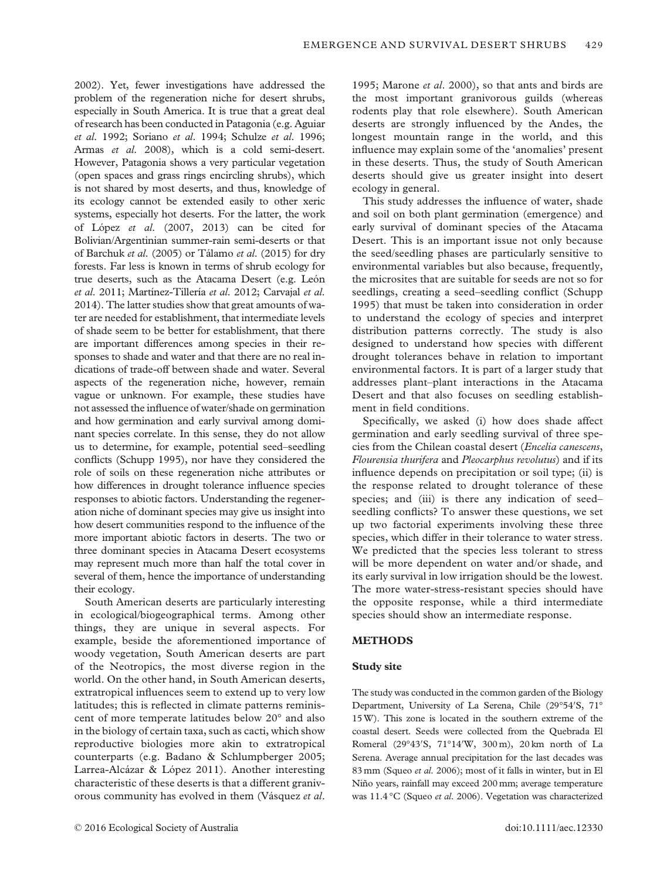2002). Yet, fewer investigations have addressed the problem of the regeneration niche for desert shrubs, especially in South America. It is true that a great deal of research has been conducted in Patagonia (e.g. Aguiar et al. 1992; Soriano et al. 1994; Schulze et al. 1996; Armas et al. 2008), which is a cold semi-desert. However, Patagonia shows a very particular vegetation (open spaces and grass rings encircling shrubs), which is not shared by most deserts, and thus, knowledge of its ecology cannot be extended easily to other xeric systems, especially hot deserts. For the latter, the work of López et al. (2007, 2013) can be cited for Bolivian/Argentinian summer-rain semi-deserts or that of Barchuk et al. (2005) or Tálamo et al. (2015) for dry forests. Far less is known in terms of shrub ecology for true deserts, such as the Atacama Desert (e.g. León et al. 2011; Martínez-Tillería et al. 2012; Carvajal et al. 2014). The latter studies show that great amounts of water are needed for establishment, that intermediate levels of shade seem to be better for establishment, that there are important differences among species in their responses to shade and water and that there are no real indications of trade-off between shade and water. Several aspects of the regeneration niche, however, remain vague or unknown. For example, these studies have not assessed the influence of water/shade on germination and how germination and early survival among dominant species correlate. In this sense, they do not allow us to determine, for example, potential seed–seedling conflicts (Schupp 1995), nor have they considered the role of soils on these regeneration niche attributes or how differences in drought tolerance influence species responses to abiotic factors. Understanding the regeneration niche of dominant species may give us insight into how desert communities respond to the influence of the more important abiotic factors in deserts. The two or three dominant species in Atacama Desert ecosystems may represent much more than half the total cover in several of them, hence the importance of understanding their ecology.

South American deserts are particularly interesting in ecological/biogeographical terms. Among other things, they are unique in several aspects. For example, beside the aforementioned importance of woody vegetation, South American deserts are part of the Neotropics, the most diverse region in the world. On the other hand, in South American deserts, extratropical influences seem to extend up to very low latitudes; this is reflected in climate patterns reminiscent of more temperate latitudes below 20° and also in the biology of certain taxa, such as cacti, which show reproductive biologies more akin to extratropical counterparts (e.g. Badano & Schlumpberger 2005; Larrea-Alcázar & López 2011). Another interesting characteristic of these deserts is that a different granivorous community has evolved in them (Vásquez et al.

1995; Marone et al. 2000), so that ants and birds are the most important granivorous guilds (whereas rodents play that role elsewhere). South American deserts are strongly influenced by the Andes, the longest mountain range in the world, and this influence may explain some of the 'anomalies' present in these deserts. Thus, the study of South American deserts should give us greater insight into desert ecology in general.

This study addresses the influence of water, shade and soil on both plant germination (emergence) and early survival of dominant species of the Atacama Desert. This is an important issue not only because the seed/seedling phases are particularly sensitive to environmental variables but also because, frequently, the microsites that are suitable for seeds are not so for seedlings, creating a seed–seedling conflict (Schupp 1995) that must be taken into consideration in order to understand the ecology of species and interpret distribution patterns correctly. The study is also designed to understand how species with different drought tolerances behave in relation to important environmental factors. It is part of a larger study that addresses plant–plant interactions in the Atacama Desert and that also focuses on seedling establishment in field conditions.

Specifically, we asked (i) how does shade affect germination and early seedling survival of three species from the Chilean coastal desert (Encelia canescens, Flourensia thurifera and Pleocarphus revolutus) and if its influence depends on precipitation or soil type; (ii) is the response related to drought tolerance of these species; and (iii) is there any indication of seedseedling conflicts? To answer these questions, we set up two factorial experiments involving these three species, which differ in their tolerance to water stress. We predicted that the species less tolerant to stress will be more dependent on water and/or shade, and its early survival in low irrigation should be the lowest. The more water-stress-resistant species should have the opposite response, while a third intermediate species should show an intermediate response.

#### METHODS

#### Study site

The study was conducted in the common garden of the Biology Department, University of La Serena, Chile (29°54′S, 71° 15W). This zone is located in the southern extreme of the coastal desert. Seeds were collected from the Quebrada El Romeral (29°43′S, 71°14′W, 300 m), 20 km north of La Serena. Average annual precipitation for the last decades was 83 mm (Squeo et al. 2006); most of it falls in winter, but in El Niño years, rainfall may exceed 200 mm; average temperature was 11.4 °C (Squeo et al. 2006). Vegetation was characterized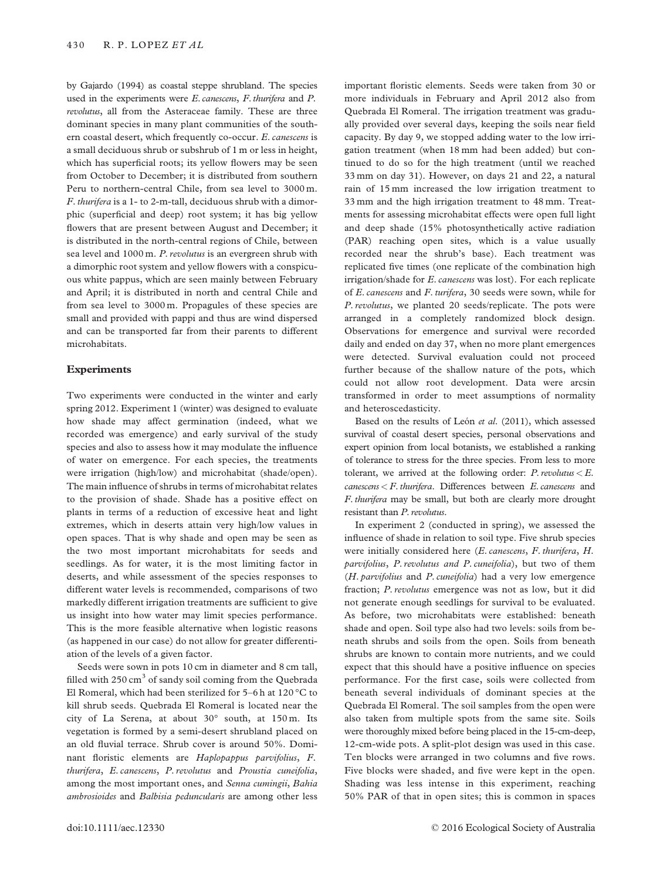by Gajardo (1994) as coastal steppe shrubland. The species used in the experiments were E. canescens, F. thurifera and P. revolutus, all from the Asteraceae family. These are three dominant species in many plant communities of the southern coastal desert, which frequently co-occur. E.canescens is a small deciduous shrub or subshrub of 1 m or less in height, which has superficial roots; its yellow flowers may be seen from October to December; it is distributed from southern Peru to northern-central Chile, from sea level to 3000 m. F. thurifera is a 1- to 2-m-tall, deciduous shrub with a dimorphic (superficial and deep) root system; it has big yellow flowers that are present between August and December; it is distributed in the north-central regions of Chile, between sea level and 1000 m. P. revolutus is an evergreen shrub with a dimorphic root system and yellow flowers with a conspicuous white pappus, which are seen mainly between February and April; it is distributed in north and central Chile and from sea level to 3000 m. Propagules of these species are small and provided with pappi and thus are wind dispersed and can be transported far from their parents to different microhabitats.

#### **Experiments**

Two experiments were conducted in the winter and early spring 2012. Experiment 1 (winter) was designed to evaluate how shade may affect germination (indeed, what we recorded was emergence) and early survival of the study species and also to assess how it may modulate the influence of water on emergence. For each species, the treatments were irrigation (high/low) and microhabitat (shade/open). The main influence of shrubs in terms of microhabitat relates to the provision of shade. Shade has a positive effect on plants in terms of a reduction of excessive heat and light extremes, which in deserts attain very high/low values in open spaces. That is why shade and open may be seen as the two most important microhabitats for seeds and seedlings. As for water, it is the most limiting factor in deserts, and while assessment of the species responses to different water levels is recommended, comparisons of two markedly different irrigation treatments are sufficient to give us insight into how water may limit species performance. This is the more feasible alternative when logistic reasons (as happened in our case) do not allow for greater differentiation of the levels of a given factor.

Seeds were sown in pots 10 cm in diameter and 8 cm tall, filled with  $250 \text{ cm}^3$  of sandy soil coming from the Quebrada El Romeral, which had been sterilized for 5–6 h at 120 °C to kill shrub seeds. Quebrada El Romeral is located near the city of La Serena, at about 30° south, at 150 m. Its vegetation is formed by a semi-desert shrubland placed on an old fluvial terrace. Shrub cover is around 50%. Dominant floristic elements are Haplopappus parvifolius, F. thurifera, E. canescens, P. revolutus and Proustia cuneifolia, among the most important ones, and Senna cumingii, Bahia ambrosioides and Balbisia peduncularis are among other less

important floristic elements. Seeds were taken from 30 or more individuals in February and April 2012 also from Quebrada El Romeral. The irrigation treatment was gradually provided over several days, keeping the soils near field capacity. By day 9, we stopped adding water to the low irrigation treatment (when 18 mm had been added) but continued to do so for the high treatment (until we reached 33 mm on day 31). However, on days 21 and 22, a natural rain of 15 mm increased the low irrigation treatment to 33 mm and the high irrigation treatment to 48 mm. Treatments for assessing microhabitat effects were open full light and deep shade (15% photosynthetically active radiation (PAR) reaching open sites, which is a value usually recorded near the shrub's base). Each treatment was replicated five times (one replicate of the combination high irrigation/shade for E. canescens was lost). For each replicate of E. canescens and F. turifera, 30 seeds were sown, while for P. revolutus, we planted 20 seeds/replicate. The pots were arranged in a completely randomized block design. Observations for emergence and survival were recorded daily and ended on day 37, when no more plant emergences were detected. Survival evaluation could not proceed further because of the shallow nature of the pots, which could not allow root development. Data were arcsin transformed in order to meet assumptions of normality and heteroscedasticity.

Based on the results of León et al. (2011), which assessed survival of coastal desert species, personal observations and expert opinion from local botanists, we established a ranking of tolerance to stress for the three species. From less to more tolerant, we arrived at the following order:  $P$ . revolutus <  $E$ .  $canescens < F$ . thurifera. Differences between  $E$ . canescens and F. thurifera may be small, but both are clearly more drought resistant than P.revolutus.

In experiment 2 (conducted in spring), we assessed the influence of shade in relation to soil type. Five shrub species were initially considered here (E. canescens, F. thurifera, H. parvifolius, P. revolutus and P. cuneifolia), but two of them (H. parvifolius and P. cuneifolia) had a very low emergence fraction; P. revolutus emergence was not as low, but it did not generate enough seedlings for survival to be evaluated. As before, two microhabitats were established: beneath shade and open. Soil type also had two levels: soils from beneath shrubs and soils from the open. Soils from beneath shrubs are known to contain more nutrients, and we could expect that this should have a positive influence on species performance. For the first case, soils were collected from beneath several individuals of dominant species at the Quebrada El Romeral. The soil samples from the open were also taken from multiple spots from the same site. Soils were thoroughly mixed before being placed in the 15-cm-deep, 12-cm-wide pots. A split-plot design was used in this case. Ten blocks were arranged in two columns and five rows. Five blocks were shaded, and five were kept in the open. Shading was less intense in this experiment, reaching 50% PAR of that in open sites; this is common in spaces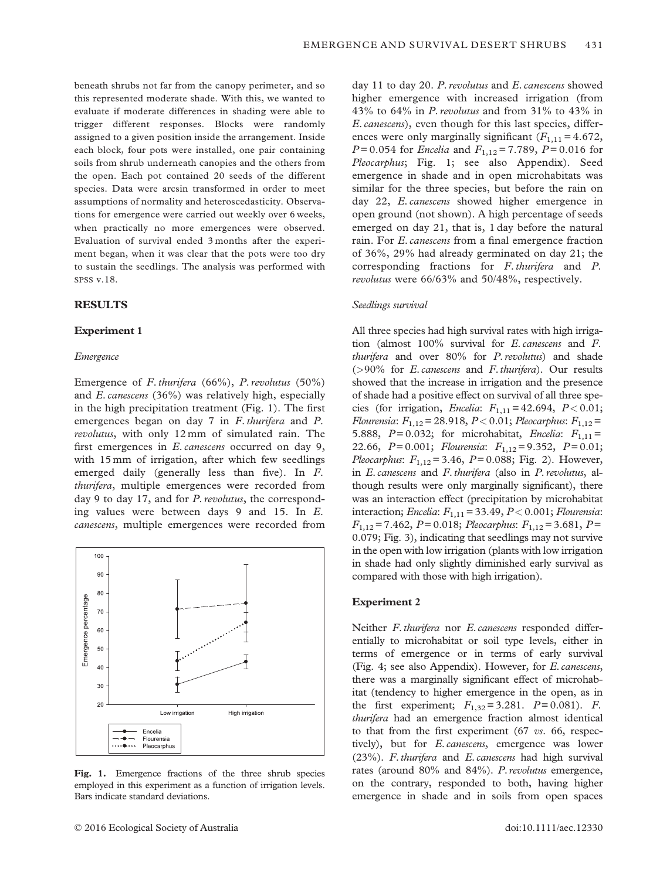beneath shrubs not far from the canopy perimeter, and so this represented moderate shade. With this, we wanted to evaluate if moderate differences in shading were able to trigger different responses. Blocks were randomly assigned to a given position inside the arrangement. Inside each block, four pots were installed, one pair containing soils from shrub underneath canopies and the others from the open. Each pot contained 20 seeds of the different species. Data were arcsin transformed in order to meet assumptions of normality and heteroscedasticity. Observations for emergence were carried out weekly over 6 weeks, when practically no more emergences were observed. Evaluation of survival ended 3 months after the experiment began, when it was clear that the pots were too dry to sustain the seedlings. The analysis was performed with SPSS v.18.

# **RESULTS**

#### Experiment 1

#### Emergence

Emergence of F. thurifera (66%), P.revolutus (50%) and E.canescens (36%) was relatively high, especially in the high precipitation treatment (Fig. 1). The first emergences began on day 7 in F. thurifera and P. revolutus, with only 12 mm of simulated rain. The first emergences in E.canescens occurred on day 9, with 15 mm of irrigation, after which few seedlings emerged daily (generally less than five). In F. thurifera, multiple emergences were recorded from day 9 to day 17, and for P. revolutus, the corresponding values were between days 9 and 15. In E. canescens, multiple emergences were recorded from



Fig. 1. Emergence fractions of the three shrub species employed in this experiment as a function of irrigation levels. Bars indicate standard deviations.

day 11 to day 20.  $P$ . revolutus and  $E$ . canescens showed higher emergence with increased irrigation (from 43% to 64% in P.revolutus and from 31% to 43% in E.canescens), even though for this last species, differences were only marginally significant  $(F_{1,11} = 4.672)$ ,  $P = 0.054$  for *Encelia* and  $F_{1,12} = 7.789$ ,  $P = 0.016$  for Pleocarphus; Fig. 1; see also Appendix). Seed emergence in shade and in open microhabitats was similar for the three species, but before the rain on day 22, E.canescens showed higher emergence in open ground (not shown). A high percentage of seeds emerged on day 21, that is, 1 day before the natural rain. For *E. canescens* from a final emergence fraction of 36%, 29% had already germinated on day 21; the corresponding fractions for F. thurifera and P. revolutus were 66/63% and 50/48%, respectively.

#### Seedlings survival

All three species had high survival rates with high irrigation (almost 100% survival for E.canescens and F. thurifera and over 80% for P.revolutus) and shade  $(>90\%$  for *E. canescens* and *F. thurifera*). Our results showed that the increase in irrigation and the presence of shade had a positive effect on survival of all three species (for irrigation, *Encelia:*  $F_{1,11} = 42.694$ ,  $P < 0.01$ ; Flourensia:  $F_{1,12}$  = 28.918, P < 0.01; Pleocarphus:  $F_{1,12}$  = 5.888, P= 0.032; for microhabitat, Encelia:  $F_{1,11}$  = 22.66,  $P=0.001$ ; Flourensia:  $F_{1,12}=9.352$ ,  $P=0.01$ ; Pleocarphus:  $F_{1,12} = 3.46$ ,  $P = 0.088$ ; Fig. 2). However, in E.canescens and F. thurifera (also in P.revolutus, although results were only marginally significant), there was an interaction effect (precipitation by microhabitat interaction; Encelia:  $F_{1,11}$  = 33.49,  $P < 0.001$ ; Flourensia:  $F_{1,12}$  = 7.462, P = 0.018; Pleocarphus:  $F_{1,12}$  = 3.681, P = 0.079; Fig. 3), indicating that seedlings may not survive in the open with low irrigation (plants with low irrigation in shade had only slightly diminished early survival as compared with those with high irrigation).

### Experiment 2

Neither F. thurifera nor E. canescens responded differentially to microhabitat or soil type levels, either in terms of emergence or in terms of early survival (Fig. 4; see also Appendix). However, for E.canescens, there was a marginally significant effect of microhabitat (tendency to higher emergence in the open, as in the first experiment;  $F_{1,32} = 3.281$ .  $P = 0.081$ . F. thurifera had an emergence fraction almost identical to that from the first experiment (67  $vs.$  66, respectively), but for *E. canescens*, emergence was lower (23%). F. thurifera and E.canescens had high survival rates (around 80% and 84%). P.revolutus emergence, on the contrary, responded to both, having higher emergence in shade and in soils from open spaces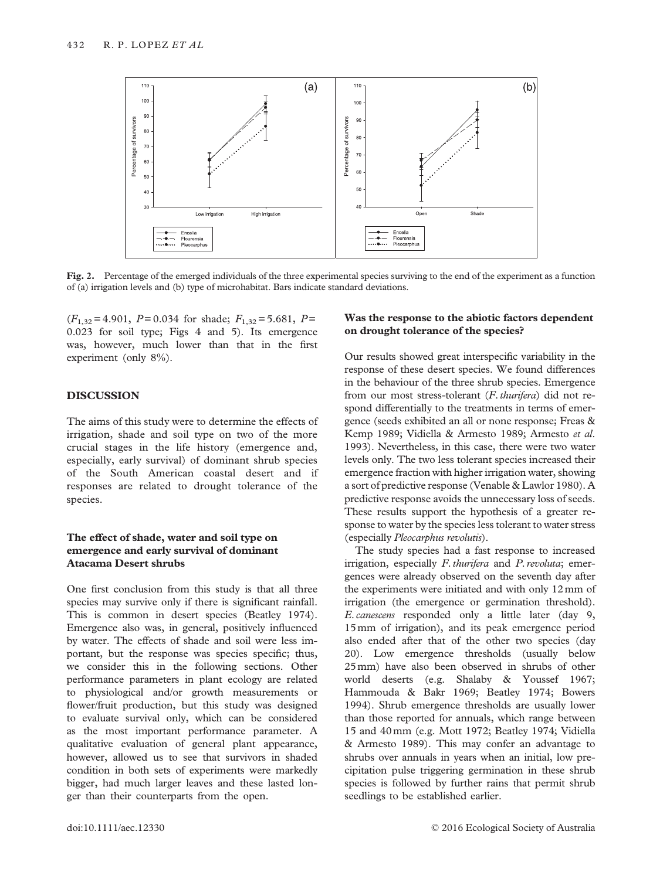

Fig. 2. Percentage of the emerged individuals of the three experimental species surviving to the end of the experiment as a function of (a) irrigation levels and (b) type of microhabitat. Bars indicate standard deviations.

 $(F_{1,32}=4.901, P=0.034$  for shade;  $F_{1,32}=5.681, P=$ 0.023 for soil type; Figs 4 and 5). Its emergence was, however, much lower than that in the first experiment (only 8%).

# DISCUSSION

The aims of this study were to determine the effects of irrigation, shade and soil type on two of the more crucial stages in the life history (emergence and, especially, early survival) of dominant shrub species of the South American coastal desert and if responses are related to drought tolerance of the species.

# The effect of shade, water and soil type on emergence and early survival of dominant Atacama Desert shrubs

One first conclusion from this study is that all three species may survive only if there is significant rainfall. This is common in desert species (Beatley 1974). Emergence also was, in general, positively influenced by water. The effects of shade and soil were less important, but the response was species specific; thus, we consider this in the following sections. Other performance parameters in plant ecology are related to physiological and/or growth measurements or flower/fruit production, but this study was designed to evaluate survival only, which can be considered as the most important performance parameter. A qualitative evaluation of general plant appearance, however, allowed us to see that survivors in shaded condition in both sets of experiments were markedly bigger, had much larger leaves and these lasted longer than their counterparts from the open.

# Was the response to the abiotic factors dependent on drought tolerance of the species?

Our results showed great interspecific variability in the response of these desert species. We found differences in the behaviour of the three shrub species. Emergence from our most stress-tolerant (F. thurifera) did not respond differentially to the treatments in terms of emergence (seeds exhibited an all or none response; Freas & Kemp 1989; Vidiella & Armesto 1989; Armesto et al. 1993). Nevertheless, in this case, there were two water levels only. The two less tolerant species increased their emergence fraction with higher irrigation water, showing a sort of predictive response (Venable & Lawlor 1980). A predictive response avoids the unnecessary loss of seeds. These results support the hypothesis of a greater response to water by the species less tolerant to water stress (especially Pleocarphus revolutis).

The study species had a fast response to increased irrigation, especially F. thurifera and P. revoluta; emergences were already observed on the seventh day after the experiments were initiated and with only 12mm of irrigation (the emergence or germination threshold). E.canescens responded only a little later (day 9, 15mm of irrigation), and its peak emergence period also ended after that of the other two species (day 20). Low emergence thresholds (usually below 25mm) have also been observed in shrubs of other world deserts (e.g. Shalaby & Youssef 1967; Hammouda & Bakr 1969; Beatley 1974; Bowers 1994). Shrub emergence thresholds are usually lower than those reported for annuals, which range between 15 and 40mm (e.g. Mott 1972; Beatley 1974; Vidiella & Armesto 1989). This may confer an advantage to shrubs over annuals in years when an initial, low precipitation pulse triggering germination in these shrub species is followed by further rains that permit shrub seedlings to be established earlier.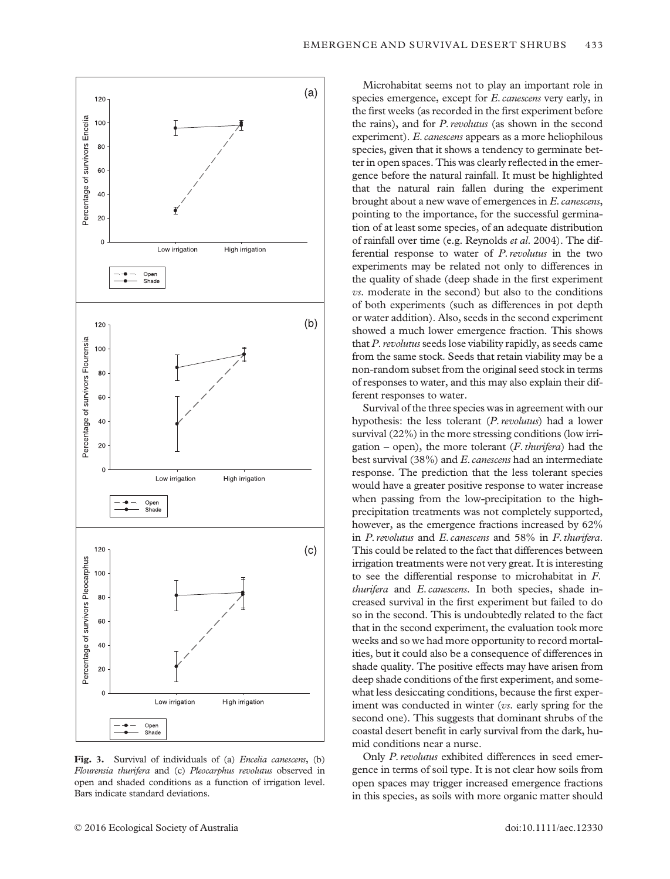

Fig. 3. Survival of individuals of (a) *Encelia canescens*, (b) Flourensia thurifera and (c) Pleocarphus revolutus observed in open and shaded conditions as a function of irrigation level. Bars indicate standard deviations.

Microhabitat seems not to play an important role in species emergence, except for E. canescens very early, in the first weeks (as recorded in the first experiment before the rains), and for P.revolutus (as shown in the second experiment). E. canescens appears as a more heliophilous species, given that it shows a tendency to germinate better in open spaces. This was clearly reflected in the emergence before the natural rainfall. It must be highlighted that the natural rain fallen during the experiment brought about a new wave of emergences in  $E$ . canescens, pointing to the importance, for the successful germination of at least some species, of an adequate distribution of rainfall over time (e.g. Reynolds et al. 2004). The differential response to water of P.revolutus in the two experiments may be related not only to differences in the quality of shade (deep shade in the first experiment vs. moderate in the second) but also to the conditions of both experiments (such as differences in pot depth or water addition). Also, seeds in the second experiment showed a much lower emergence fraction. This shows that  $P$ . revolutus seeds lose viability rapidly, as seeds came from the same stock. Seeds that retain viability may be a non-random subset from the original seed stock in terms of responses to water, and this may also explain their different responses to water.

Survival of the three species was in agreement with our hypothesis: the less tolerant (P.revolutus) had a lower survival (22%) in the more stressing conditions (low irrigation – open), the more tolerant  $(F.$  thurifera) had the best survival (38%) and E. canescens had an intermediate response. The prediction that the less tolerant species would have a greater positive response to water increase when passing from the low-precipitation to the highprecipitation treatments was not completely supported, however, as the emergence fractions increased by 62% in P. revolutus and E. canescens and 58% in F. thurifera. This could be related to the fact that differences between irrigation treatments were not very great. It is interesting to see the differential response to microhabitat in F. thurifera and E. canescens. In both species, shade increased survival in the first experiment but failed to do so in the second. This is undoubtedly related to the fact that in the second experiment, the evaluation took more weeks and so we had more opportunity to record mortalities, but it could also be a consequence of differences in shade quality. The positive effects may have arisen from deep shade conditions of the first experiment, and somewhat less desiccating conditions, because the first experiment was conducted in winter (vs. early spring for the second one). This suggests that dominant shrubs of the coastal desert benefit in early survival from the dark, humid conditions near a nurse.

Only P.revolutus exhibited differences in seed emergence in terms of soil type. It is not clear how soils from open spaces may trigger increased emergence fractions in this species, as soils with more organic matter should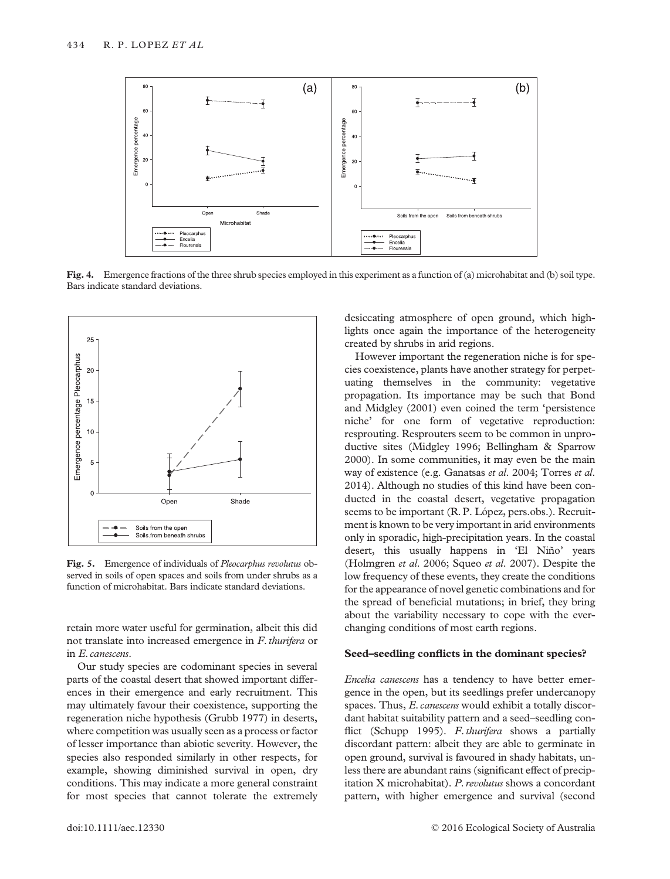

Fig. 4. Emergence fractions of the three shrub species employed in this experiment as a function of (a) microhabitat and (b) soil type. Bars indicate standard deviations.



Fig. 5. Emergence of individuals of Pleocarphus revolutus observed in soils of open spaces and soils from under shrubs as a function of microhabitat. Bars indicate standard deviations.

retain more water useful for germination, albeit this did not translate into increased emergence in F. thurifera or in E.canescens.

Our study species are codominant species in several parts of the coastal desert that showed important differences in their emergence and early recruitment. This may ultimately favour their coexistence, supporting the regeneration niche hypothesis (Grubb 1977) in deserts, where competition was usually seen as a process or factor of lesser importance than abiotic severity. However, the species also responded similarly in other respects, for example, showing diminished survival in open, dry conditions. This may indicate a more general constraint for most species that cannot tolerate the extremely

desiccating atmosphere of open ground, which highlights once again the importance of the heterogeneity created by shrubs in arid regions.

However important the regeneration niche is for species coexistence, plants have another strategy for perpetuating themselves in the community: vegetative propagation. Its importance may be such that Bond and Midgley (2001) even coined the term 'persistence niche' for one form of vegetative reproduction: resprouting. Resprouters seem to be common in unproductive sites (Midgley 1996; Bellingham & Sparrow 2000). In some communities, it may even be the main way of existence (e.g. Ganatsas et al. 2004; Torres et al. 2014). Although no studies of this kind have been conducted in the coastal desert, vegetative propagation seems to be important (R. P. López, pers.obs.). Recruitment is known to be very important in arid environments only in sporadic, high-precipitation years. In the coastal desert, this usually happens in 'El Niño' years (Holmgren et al. 2006; Squeo et al. 2007). Despite the low frequency of these events, they create the conditions for the appearance of novel genetic combinations and for the spread of beneficial mutations; in brief, they bring about the variability necessary to cope with the everchanging conditions of most earth regions.

#### Seed–seedling conflicts in the dominant species?

Encelia canescens has a tendency to have better emergence in the open, but its seedlings prefer undercanopy spaces. Thus, E. canescens would exhibit a totally discordant habitat suitability pattern and a seed–seedling conflict (Schupp 1995). F.thurifera shows a partially discordant pattern: albeit they are able to germinate in open ground, survival is favoured in shady habitats, unless there are abundant rains (significant effect of precipitation X microhabitat). P. revolutus shows a concordant pattern, with higher emergence and survival (second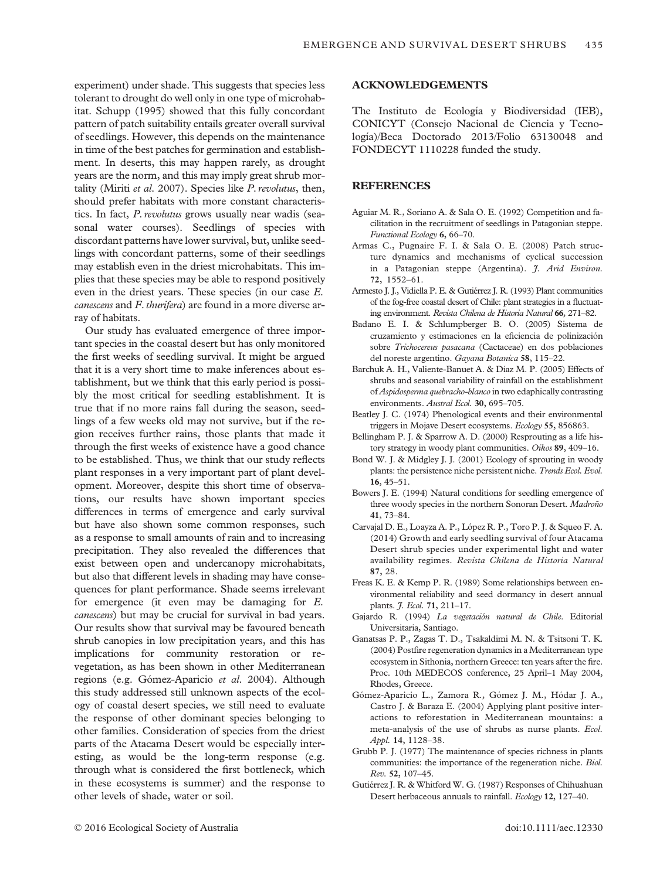experiment) under shade. This suggests that species less tolerant to drought do well only in one type of microhabitat. Schupp (1995) showed that this fully concordant pattern of patch suitability entails greater overall survival of seedlings. However, this depends on the maintenance in time of the best patches for germination and establishment. In deserts, this may happen rarely, as drought years are the norm, and this may imply great shrub mortality (Miriti et al. 2007). Species like P. revolutus, then, should prefer habitats with more constant characteristics. In fact, P.revolutus grows usually near wadis (seasonal water courses). Seedlings of species with discordant patterns have lower survival, but, unlike seedlings with concordant patterns, some of their seedlings may establish even in the driest microhabitats. This implies that these species may be able to respond positively even in the driest years. These species (in our case E. canescens and  $F.$  thurifera) are found in a more diverse array of habitats.

Our study has evaluated emergence of three important species in the coastal desert but has only monitored the first weeks of seedling survival. It might be argued that it is a very short time to make inferences about establishment, but we think that this early period is possibly the most critical for seedling establishment. It is true that if no more rains fall during the season, seedlings of a few weeks old may not survive, but if the region receives further rains, those plants that made it through the first weeks of existence have a good chance to be established. Thus, we think that our study reflects plant responses in a very important part of plant development. Moreover, despite this short time of observations, our results have shown important species differences in terms of emergence and early survival but have also shown some common responses, such as a response to small amounts of rain and to increasing precipitation. They also revealed the differences that exist between open and undercanopy microhabitats, but also that different levels in shading may have consequences for plant performance. Shade seems irrelevant for emergence (it even may be damaging for E. canescens) but may be crucial for survival in bad years. Our results show that survival may be favoured beneath shrub canopies in low precipitation years, and this has implications for community restoration or revegetation, as has been shown in other Mediterranean regions (e.g. Gómez-Aparicio et al. 2004). Although this study addressed still unknown aspects of the ecology of coastal desert species, we still need to evaluate the response of other dominant species belonging to other families. Consideration of species from the driest parts of the Atacama Desert would be especially interesting, as would be the long-term response (e.g. through what is considered the first bottleneck, which in these ecosystems is summer) and the response to other levels of shade, water or soil.

#### ACKNOWLEDGEMENTS

The Instituto de Ecología y Biodiversidad (IEB), CONICYT (Consejo Nacional de Ciencia y Tecnología)/Beca Doctorado 2013/Folio 63130048 and FONDECYT 1110228 funded the study.

# **REFERENCES**

- Aguiar M. R., Soriano A. & Sala O. E. (1992) Competition and facilitation in the recruitment of seedlings in Patagonian steppe. Functional Ecology 6, 66–70.
- Armas C., Pugnaire F. I. & Sala O. E. (2008) Patch structure dynamics and mechanisms of cyclical succession in a Patagonian steppe (Argentina). J. Arid Environ. 72, 1552–61.
- Armesto J. J., Vidiella P. E. & Gutiérrez J. R. (1993) Plant communities of the fog-free coastal desert of Chile: plant strategies in a fluctuating environment. Revista Chilena de Historia Natural 66, 271–82.
- Badano E. I. & Schlumpberger B. O. (2005) Sistema de cruzamiento y estimaciones en la eficiencia de polinización sobre Trichocereus pasacana (Cactaceae) en dos poblaciones del noreste argentino. Gayana Botanica 58, 115–22.
- Barchuk A. H., Valiente-Banuet A. & Díaz M. P. (2005) Effects of shrubs and seasonal variability of rainfall on the establishment of Aspidosperma quebracho-blanco in two edaphically contrasting environments. Austral Ecol. 30, 695-705.
- Beatley J. C. (1974) Phenological events and their environmental triggers in Mojave Desert ecosystems. Ecology 55, 856863.
- Bellingham P. J. & Sparrow A. D. (2000) Resprouting as a life history strategy in woody plant communities. Oikos 89, 409–16.
- Bond W. J. & Midgley J. J. (2001) Ecology of sprouting in woody plants: the persistence niche persistent niche. Trends Ecol. Evol. 16, 45–51.
- Bowers J. E. (1994) Natural conditions for seedling emergence of three woody species in the northern Sonoran Desert. Madroño 41, 73–84.
- Carvajal D. E., Loayza A. P., López R. P., Toro P. J. & Squeo F. A. (2014) Growth and early seedling survival of four Atacama Desert shrub species under experimental light and water availability regimes. Revista Chilena de Historia Natural 87, 28.
- Freas K. E. & Kemp P. R. (1989) Some relationships between environmental reliability and seed dormancy in desert annual plants. *J. Ecol.* **71**, 211–17.
- Gajardo R. (1994) La vegetación natural de Chile. Editorial Universitaria, Santiago.
- Ganatsas P. P., Zagas T. D., Tsakaldimi M. N. & Tsitsoni T. K. (2004) Postfire regeneration dynamics in a Mediterranean type ecosystem in Sithonia, northern Greece: ten years after the fire. Proc. 10th MEDECOS conference, 25 April–1 May 2004, Rhodes, Greece.
- Gómez-Aparicio L., Zamora R., Gómez J. M., Hódar J. A., Castro J. & Baraza E. (2004) Applying plant positive interactions to reforestation in Mediterranean mountains: a meta-analysis of the use of shrubs as nurse plants. Ecol. Appl. 14, 1128–38.
- Grubb P. J. (1977) The maintenance of species richness in plants communities: the importance of the regeneration niche. Biol. Rev. 52, 107–45.
- Gutiérrez J. R. & Whitford W. G. (1987) Responses of Chihuahuan Desert herbaceous annuals to rainfall. Ecology 12, 127–40.